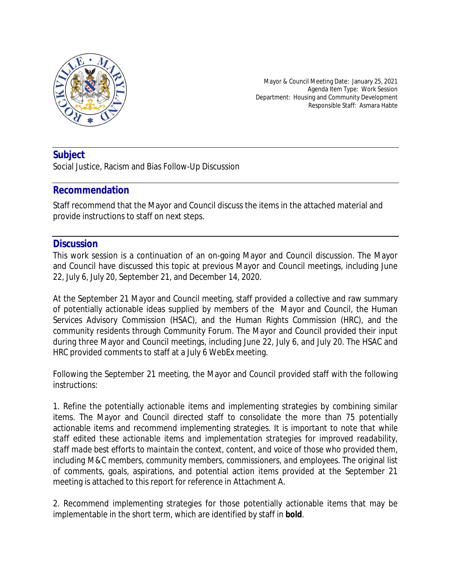

Mayor & Council Meeting Date: January 25, 2021 Agenda Item Type: Work Session Department: Housing and Community Development Responsible Staff: Asmara Habte

# **Subject**

Social Justice, Racism and Bias Follow-Up Discussion

### **Recommendation**

Staff recommend that the Mayor and Council discuss the items in the attached material and provide instructions to staff on next steps.

# **Discussion**

This work session is a continuation of an on-going Mayor and Council discussion. The Mayor and Council have discussed this topic at previous Mayor and Council meetings, including June 22, July 6, July 20, September 21, and December 14, 2020.

At the September 21 Mayor and Council meeting, staff provided a collective and raw summary of potentially actionable ideas supplied by members of the Mayor and Council, the Human Services Advisory Commission (HSAC), and the Human Rights Commission (HRC), and the community residents through Community Forum. The Mayor and Council provided their input during three Mayor and Council meetings, including June 22, July 6, and July 20. The HSAC and HRC provided comments to staff at a July 6 WebEx meeting.

Following the September 21 meeting, the Mayor and Council provided staff with the following instructions:

1. Refine the potentially actionable items and implementing strategies by combining similar items. The Mayor and Council directed staff to consolidate the more than 75 potentially actionable items and recommend implementing strategies. *It is important to note that while staff edited these actionable items and implementation strategies for improved readability, staff made best efforts to maintain the context, content, and voice of those who provided them, including M&C members, community members, commissioners, and employees.* The original list of comments, goals, aspirations, and potential action items provided at the September 21 meeting is attached to this report for reference in Attachment A.

2. Recommend implementing strategies for those potentially actionable items that may be implementable in the short term, which are identified by staff in **bold**.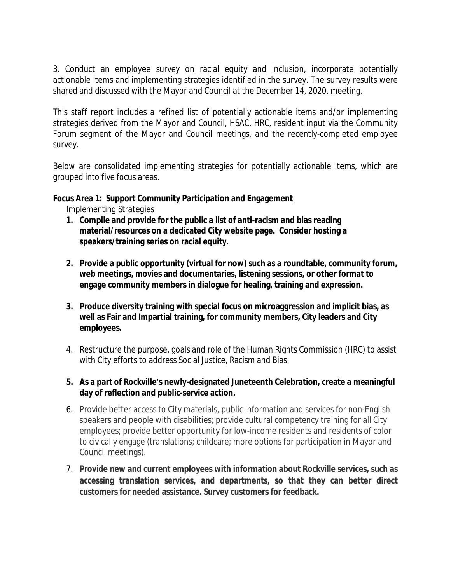3. Conduct an employee survey on racial equity and inclusion, incorporate potentially actionable items and implementing strategies identified in the survey. The survey results were shared and discussed with the Mayor and Council at the December 14, 2020, meeting.

This staff report includes a refined list of potentially actionable items and/or implementing strategies derived from the Mayor and Council, HSAC, HRC, resident input via the Community Forum segment of the Mayor and Council meetings, and the recently-completed employee survey.

Below are consolidated implementing strategies for potentially actionable items, which are grouped into five focus areas.

### **Focus Area 1: Support Community Participation and Engagement**

*Implementing Strategies*

- **1. Compile and provide for the public a list of anti-racism and bias reading material/resources on a dedicated City website page. Consider hosting a speakers/training series on racial equity.**
- **2. Provide a public opportunity (virtual for now) such as a roundtable, community forum, web meetings, movies and documentaries, listening sessions, or other format to engage community members in dialogue for healing, training and expression.**
- **3. Produce diversity training with special focus on microaggression and implicit bias, as well as Fair and Impartial training, for community members, City leaders and City employees.**
- 4. Restructure the purpose, goals and role of the Human Rights Commission (HRC) to assist with City efforts to address Social Justice, Racism and Bias.
- **5. As a part of Rockville's newly-designated Juneteenth Celebration, create a meaningful day of reflection and public-service action.**
- 6. Provide better access to City materials, public information and services for non-English speakers and people with disabilities; provide cultural competency training for all City employees; provide better opportunity for low-income residents and residents of color to civically engage (translations; childcare; more options for participation in Mayor and Council meetings).
- 7. **Provide new and current employees with information about Rockville services, such as accessing translation services, and departments, so that they can better direct customers for needed assistance. Survey customers for feedback.**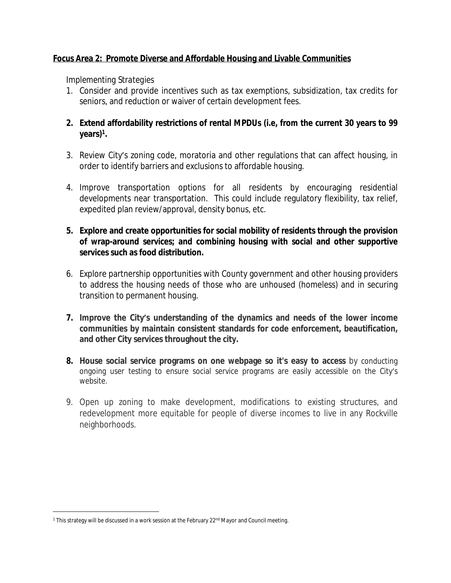### **Focus Area 2: Promote Diverse and Affordable Housing and Livable Communities**

### *Implementing Strategies*

- 1. Consider and provide incentives such as tax exemptions, subsidization, tax credits for seniors, and reduction or waiver of certain development fees.
- **2. Extend affordability restrictions of rental MPDUs (i.e, from the current 30 years to 99 years)<sup>1</sup> .**
- 3. Review City's zoning code, moratoria and other regulations that can affect housing, in order to identify barriers and exclusions to affordable housing.
- 4. Improve transportation options for all residents by encouraging residential developments near transportation. This could include regulatory flexibility, tax relief, expedited plan review/approval, density bonus, etc.
- **5. Explore and create opportunities for social mobility of residents through the provision of wrap-around services; and combining housing with social and other supportive services such as food distribution.**
- 6. Explore partnership opportunities with County government and other housing providers to address the housing needs of those who are unhoused (homeless) and in securing transition to permanent housing.
- **7. Improve the City's understanding of the dynamics and needs of the lower income communities by maintain consistent standards for code enforcement, beautification, and other City services throughout the city.**
- **8. House social service programs on one webpage so it's easy to access** by conducting ongoing user testing to ensure social service programs are easily accessible on the City's website.
- 9. Open up zoning to make development, modifications to existing structures, and redevelopment more equitable for people of diverse incomes to live in any Rockville neighborhoods.

<sup>&</sup>lt;sup>1</sup> This strategy will be discussed in a work session at the February 22<sup>nd</sup> Mayor and Council meeting.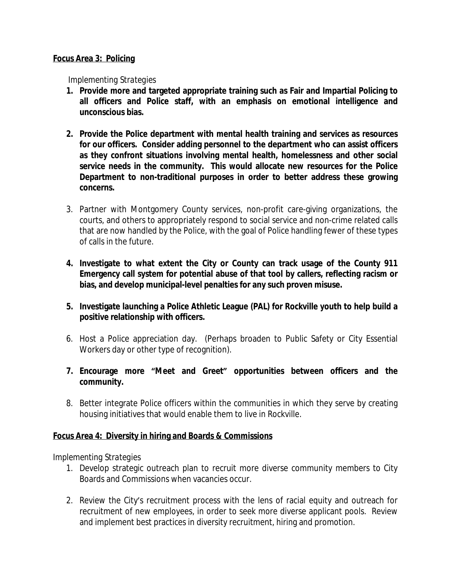#### **Focus Area 3: Policing**

#### *Implementing Strategies*

- **1. Provide more and targeted appropriate training such as Fair and Impartial Policing to all officers and Police staff, with an emphasis on emotional intelligence and unconscious bias.**
- **2. Provide the Police department with mental health training and services as resources for our officers. Consider adding personnel to the department who can assist officers as they confront situations involving mental health, homelessness and other social service needs in the community. This would allocate new resources for the Police Department to non-traditional purposes in order to better address these growing concerns.**
- 3. Partner with Montgomery County services, non-profit care-giving organizations, the courts, and others to appropriately respond to social service and non-crime related calls that are now handled by the Police, with the goal of Police handling fewer of these types of calls in the future.
- **4. Investigate to what extent the City or County can track usage of the County 911 Emergency call system for potential abuse of that tool by callers, reflecting racism or bias, and develop municipal-level penalties for any such proven misuse.**
- **5. Investigate launching a Police Athletic League (PAL) for Rockville youth to help build a positive relationship with officers.**
- 6. Host a Police appreciation day. (Perhaps broaden to Public Safety or City Essential Workers day or other type of recognition).
- **7. Encourage more "Meet and Greet" opportunities between officers and the community.**
- 8. Better integrate Police officers within the communities in which they serve by creating housing initiatives that would enable them to live in Rockville.

### **Focus Area 4: Diversity in hiring and Boards & Commissions**

### *Implementing Strategies*

- 1. Develop strategic outreach plan to recruit more diverse community members to City Boards and Commissions when vacancies occur.
- 2. Review the City's recruitment process with the lens of racial equity and outreach for recruitment of new employees, in order to seek more diverse applicant pools. Review and implement best practices in diversity recruitment, hiring and promotion.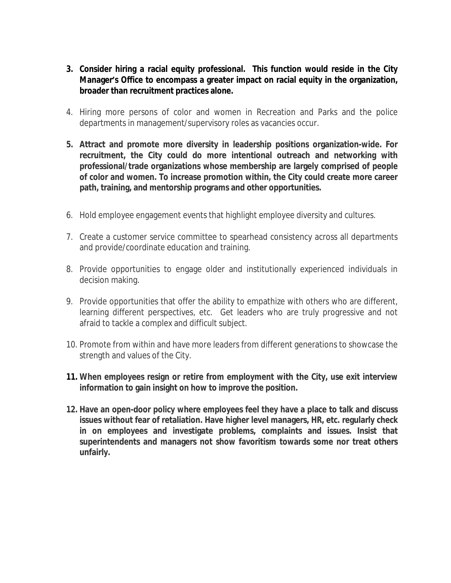- **3. Consider hiring a racial equity professional. This function would reside in the City Manager's Office to encompass a greater impact on racial equity in the organization, broader than recruitment practices alone.**
- 4. Hiring more persons of color and women in Recreation and Parks and the police departments in management/supervisory roles as vacancies occur.
- **5. Attract and promote more diversity in leadership positions organization-wide. For recruitment, the City could do more intentional outreach and networking with professional/trade organizations whose membership are largely comprised of people of color and women. To increase promotion within, the City could create more career path, training, and mentorship programs and other opportunities.**
- 6. Hold employee engagement events that highlight employee diversity and cultures.
- 7. Create a customer service committee to spearhead consistency across all departments and provide/coordinate education and training.
- 8. Provide opportunities to engage older and institutionally experienced individuals in decision making.
- 9. Provide opportunities that offer the ability to empathize with others who are different, learning different perspectives, etc. Get leaders who are truly progressive and not afraid to tackle a complex and difficult subject.
- 10. Promote from within and have more leaders from different generations to showcase the strength and values of the City.
- **11. When employees resign or retire from employment with the City, use exit interview information to gain insight on how to improve the position.**
- **12. Have an open-door policy where employees feel they have a place to talk and discuss issues without fear of retaliation. Have higher level managers, HR, etc. regularly check in on employees and investigate problems, complaints and issues. Insist that superintendents and managers not show favoritism towards some nor treat others unfairly.**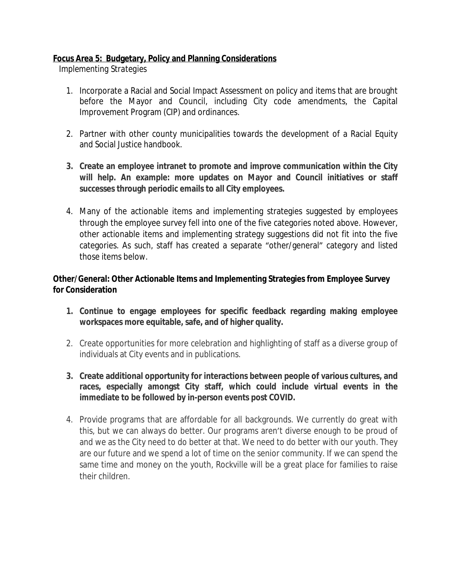## **Focus Area 5: Budgetary, Policy and Planning Considerations**

*Implementing Strategies*

- 1. Incorporate a Racial and Social Impact Assessment on policy and items that are brought before the Mayor and Council, including City code amendments, the Capital Improvement Program (CIP) and ordinances.
- 2. Partner with other county municipalities towards the development of a Racial Equity and Social Justice handbook.
- **3. Create an employee intranet to promote and improve communication within the City will help. An example: more updates on Mayor and Council initiatives or staff successes through periodic emails to all City employees.**
- 4. Many of the actionable items and implementing strategies suggested by employees through the employee survey fell into one of the five categories noted above. However, other actionable items and implementing strategy suggestions did not fit into the five categories. As such, staff has created a separate "other/general" category and listed those items below.

## **Other/General: Other Actionable Items and Implementing Strategies from Employee Survey for Consideration**

- **1. Continue to engage employees for specific feedback regarding making employee workspaces more equitable, safe, and of higher quality.**
- 2. Create opportunities for more celebration and highlighting of staff as a diverse group of individuals at City events and in publications.
- **3. Create additional opportunity for interactions between people of various cultures, and races, especially amongst City staff, which could include virtual events in the immediate to be followed by in-person events post COVID.**
- 4. Provide programs that are affordable for all backgrounds. We currently do great with this, but we can always do better. Our programs aren't diverse enough to be proud of and we as the City need to do better at that. We need to do better with our youth. They are our future and we spend a lot of time on the senior community. If we can spend the same time and money on the youth, Rockville will be a great place for families to raise their children.